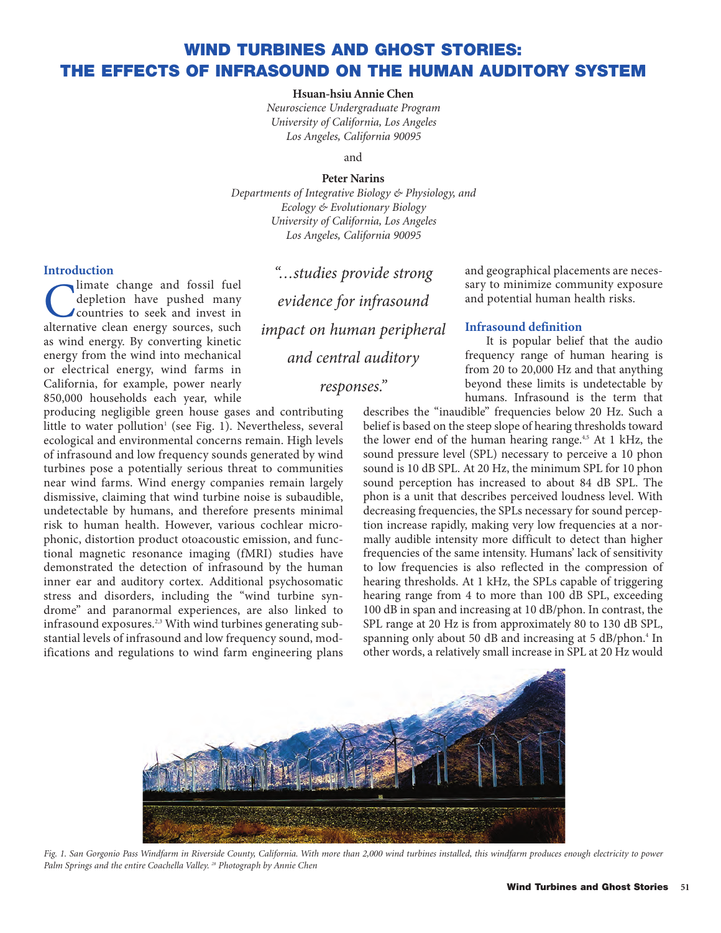# **WIND TURBINES AND GHOST STORIES: THE EFFECTS OF INFRASOUND ON THE HUMAN AUDITORY SYSTEM**

### **Hsuan-hsiu Annie Chen**

*Neuroscience Undergraduate Program University of California, Los Angeles Los Angeles, California 90095*

and

#### **Peter Narins**

*Departments of Integrative Biology & Physiology, and Ecology & Evolutionary Biology University of California, Los Angeles Los Angeles, California 90095*

#### **Introduction**

Commate change and fossil fuel<br>depletion have pushed many<br>countries to seek and invest in<br>alternative clean energy sources such depletion have pushed many alternative clean energy sources, such as wind energy. By converting kinetic energy from the wind into mechanical or electrical energy, wind farms in California, for example, power nearly 850,000 households each year, while

producing negligible green house gases and contributing little to water pollution<sup>1</sup> (see Fig. 1). Nevertheless, several ecological and environmental concerns remain. High levels of infrasound and low frequency sounds generated by wind turbines pose a potentially serious threat to communities near wind farms. Wind energy companies remain largely dismissive, claiming that wind turbine noise is subaudible, undetectable by humans, and therefore presents minimal risk to human health. However, various cochlear microphonic, distortion product otoacoustic emission, and functional magnetic resonance imaging (fMRI) studies have demonstrated the detection of infrasound by the human inner ear and auditory cortex. Additional psychosomatic stress and disorders, including the "wind turbine syndrome" and paranormal experiences, are also linked to infrasound exposures.<sup>2,3</sup> With wind turbines generating substantial levels of infrasound and low frequency sound, modifications and regulations to wind farm engineering plans

*"…studies provide strong evidence for infrasound impact on human peripheral and central auditory*

# *responses."*

and geographical placements are necessary to minimize community exposure and potential human health risks.

## **Infrasound definition**

It is popular belief that the audio frequency range of human hearing is from 20 to 20,000 Hz and that anything beyond these limits is undetectable by humans. Infrasound is the term that

describes the "inaudible" frequencies below 20 Hz. Such a belief is based on the steep slope of hearing thresholds toward the lower end of the human hearing range.<sup>4,5</sup> At 1 kHz, the sound pressure level (SPL) necessary to perceive a 10 phon sound is 10 dB SPL. At 20 Hz, the minimum SPL for 10 phon sound perception has increased to about 84 dB SPL. The phon is a unit that describes perceived loudness level. With decreasing frequencies, the SPLs necessary for sound perception increase rapidly, making very low frequencies at a normally audible intensity more difficult to detect than higher frequencies of the same intensity. Humans' lack of sensitivity to low frequencies is also reflected in the compression of hearing thresholds. At 1 kHz, the SPLs capable of triggering hearing range from 4 to more than 100 dB SPL, exceeding 100 dB in span and increasing at 10 dB/phon. In contrast, the SPL range at 20 Hz is from approximately 80 to 130 dB SPL, spanning only about 50 dB and increasing at 5 dB/phon.<sup>4</sup> In other words, a relatively small increase in SPL at 20 Hz would



*Fig. 1. San Gorgonio Pass Windfarm in Riverside County, California. With more than 2,000 wind turbines installed, this windfarm produces enough electricity to power Palm Springs and the entire Coachella Valley. <sup>28</sup> Photograph by Annie Chen*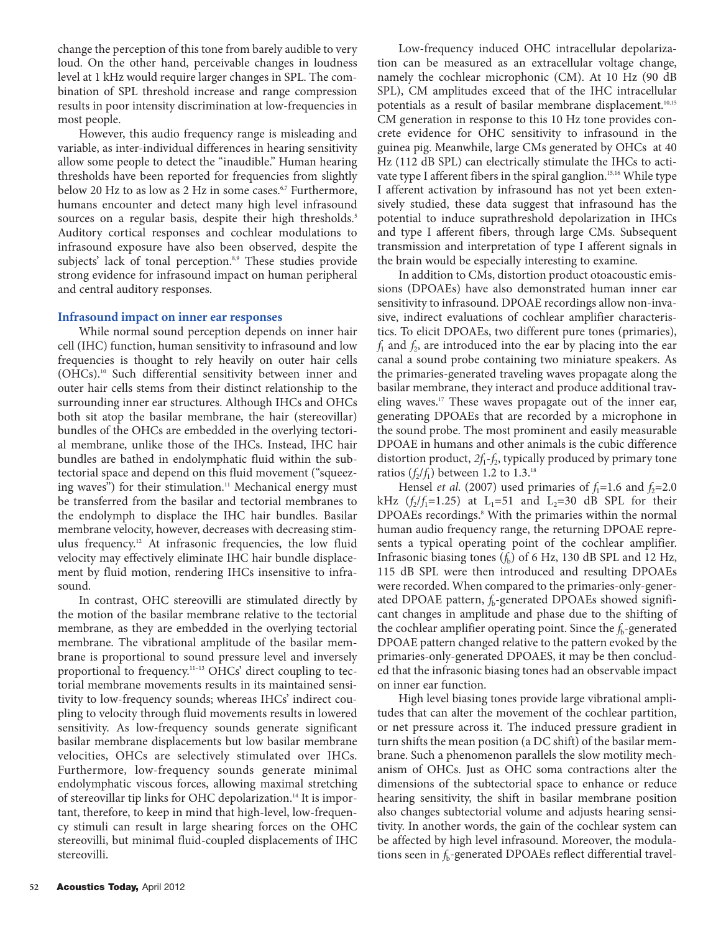change the perception of this tone from barely audible to very loud. On the other hand, perceivable changes in loudness level at 1 kHz would require larger changes in SPL. The combination of SPL threshold increase and range compression results in poor intensity discrimination at low-frequencies in most people.

However, this audio frequency range is misleading and variable, as inter-individual differences in hearing sensitivity allow some people to detect the "inaudible." Human hearing thresholds have been reported for frequencies from slightly below 20 Hz to as low as 2 Hz in some cases.<sup>6,7</sup> Furthermore, humans encounter and detect many high level infrasound sources on a regular basis, despite their high thresholds.<sup>5</sup> Auditory cortical responses and cochlear modulations to infrasound exposure have also been observed, despite the subjects' lack of tonal perception.<sup>8,9</sup> These studies provide strong evidence for infrasound impact on human peripheral and central auditory responses.

#### **Infrasound impact on inner ear responses**

While normal sound perception depends on inner hair cell (IHC) function, human sensitivity to infrasound and low frequencies is thought to rely heavily on outer hair cells (OHCs).10 Such differential sensitivity between inner and outer hair cells stems from their distinct relationship to the surrounding inner ear structures. Although IHCs and OHCs both sit atop the basilar membrane, the hair (stereovillar) bundles of the OHCs are embedded in the overlying tectorial membrane, unlike those of the IHCs. Instead, IHC hair bundles are bathed in endolymphatic fluid within the subtectorial space and depend on this fluid movement ("squeezing waves") for their stimulation.<sup>11</sup> Mechanical energy must be transferred from the basilar and tectorial membranes to the endolymph to displace the IHC hair bundles. Basilar membrane velocity, however, decreases with decreasing stimulus frequency.12 At infrasonic frequencies, the low fluid velocity may effectively eliminate IHC hair bundle displacement by fluid motion, rendering IHCs insensitive to infrasound.

In contrast, OHC stereovilli are stimulated directly by the motion of the basilar membrane relative to the tectorial membrane, as they are embedded in the overlying tectorial membrane. The vibrational amplitude of the basilar membrane is proportional to sound pressure level and inversely proportional to frequency.<sup>11-13</sup> OHCs' direct coupling to tectorial membrane movements results in its maintained sensitivity to low-frequency sounds; whereas IHCs' indirect coupling to velocity through fluid movements results in lowered sensitivity. As low-frequency sounds generate significant basilar membrane displacements but low basilar membrane velocities, OHCs are selectively stimulated over IHCs. Furthermore, low-frequency sounds generate minimal endolymphatic viscous forces, allowing maximal stretching of stereovillar tip links for OHC depolarization.<sup>14</sup> It is important, therefore, to keep in mind that high-level, low-frequency stimuli can result in large shearing forces on the OHC stereovilli, but minimal fluid-coupled displacements of IHC stereovilli.

Low-frequency induced OHC intracellular depolarization can be measured as an extracellular voltage change, namely the cochlear microphonic (CM). At 10 Hz (90 dB SPL), CM amplitudes exceed that of the IHC intracellular potentials as a result of basilar membrane displacement.<sup>10,15</sup> CM generation in response to this 10 Hz tone provides concrete evidence for OHC sensitivity to infrasound in the guinea pig. Meanwhile, large CMs generated by OHCs at 40 Hz (112 dB SPL) can electrically stimulate the IHCs to activate type I afferent fibers in the spiral ganglion.<sup>15,16</sup> While type I afferent activation by infrasound has not yet been extensively studied, these data suggest that infrasound has the potential to induce suprathreshold depolarization in IHCs and type I afferent fibers, through large CMs. Subsequent transmission and interpretation of type I afferent signals in the brain would be especially interesting to examine.

In addition to CMs, distortion product otoacoustic emissions (DPOAEs) have also demonstrated human inner ear sensitivity to infrasound. DPOAE recordings allow non-invasive, indirect evaluations of cochlear amplifier characteristics. To elicit DPOAEs, two different pure tones (primaries),  $f_1$  and  $f_2$ , are introduced into the ear by placing into the ear canal a sound probe containing two miniature speakers. As the primaries-generated traveling waves propagate along the basilar membrane, they interact and produce additional traveling waves.17 These waves propagate out of the inner ear, generating DPOAEs that are recorded by a microphone in the sound probe. The most prominent and easily measurable DPOAE in humans and other animals is the cubic difference distortion product,  $2f_1 - f_2$ , typically produced by primary tone ratios  $(f_2/f_1)$  between 1.2 to 1.3.<sup>18</sup>

Hensel *et al.* (2007) used primaries of  $f_1 = 1.6$  and  $f_2 = 2.0$ kHz  $(f_2/f_1=1.25)$  at L<sub>1</sub>=51 and L<sub>2</sub>=30 dB SPL for their DPOAEs recordings.<sup>8</sup> With the primaries within the normal human audio frequency range, the returning DPOAE represents a typical operating point of the cochlear amplifier. Infrasonic biasing tones  $(f_b)$  of 6 Hz, 130 dB SPL and 12 Hz, 115 dB SPL were then introduced and resulting DPOAEs were recorded. When compared to the primaries-only-generated DPOAE pattern, *f*<sub>b</sub>-generated DPOAEs showed significant changes in amplitude and phase due to the shifting of the cochlear amplifier operating point. Since the  $f<sub>b</sub>$ -generated DPOAE pattern changed relative to the pattern evoked by the primaries-only-generated DPOAES, it may be then concluded that the infrasonic biasing tones had an observable impact on inner ear function.

High level biasing tones provide large vibrational amplitudes that can alter the movement of the cochlear partition, or net pressure across it. The induced pressure gradient in turn shifts the mean position (a DC shift) of the basilar membrane. Such a phenomenon parallels the slow motility mechanism of OHCs. Just as OHC soma contractions alter the dimensions of the subtectorial space to enhance or reduce hearing sensitivity, the shift in basilar membrane position also changes subtectorial volume and adjusts hearing sensitivity. In another words, the gain of the cochlear system can be affected by high level infrasound. Moreover, the modulations seen in  $f<sub>b</sub>$ -generated DPOAEs reflect differential travel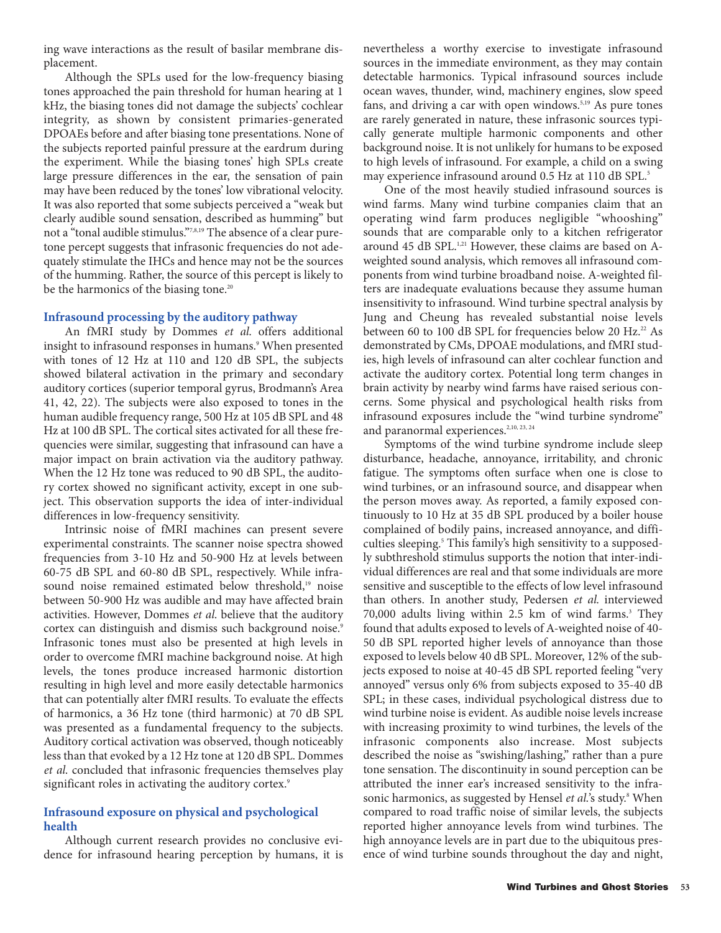ing wave interactions as the result of basilar membrane displacement.

Although the SPLs used for the low-frequency biasing tones approached the pain threshold for human hearing at 1 kHz, the biasing tones did not damage the subjects' cochlear integrity, as shown by consistent primaries-generated DPOAEs before and after biasing tone presentations. None of the subjects reported painful pressure at the eardrum during the experiment. While the biasing tones' high SPLs create large pressure differences in the ear, the sensation of pain may have been reduced by the tones' low vibrational velocity. It was also reported that some subjects perceived a "weak but clearly audible sound sensation, described as humming" but not a "tonal audible stimulus."7,8,19 The absence of a clear puretone percept suggests that infrasonic frequencies do not adequately stimulate the IHCs and hence may not be the sources of the humming. Rather, the source of this percept is likely to be the harmonics of the biasing tone.<sup>20</sup>

# **Infrasound processing by the auditory pathway**

An fMRI study by Dommes *et al.* offers additional insight to infrasound responses in humans.<sup>9</sup> When presented with tones of 12 Hz at 110 and 120 dB SPL, the subjects showed bilateral activation in the primary and secondary auditory cortices (superior temporal gyrus, Brodmann's Area 41, 42, 22). The subjects were also exposed to tones in the human audible frequency range, 500 Hz at 105 dB SPL and 48 Hz at 100 dB SPL. The cortical sites activated for all these frequencies were similar, suggesting that infrasound can have a major impact on brain activation via the auditory pathway. When the 12 Hz tone was reduced to 90 dB SPL, the auditory cortex showed no significant activity, except in one subject. This observation supports the idea of inter-individual differences in low-frequency sensitivity.

Intrinsic noise of fMRI machines can present severe experimental constraints. The scanner noise spectra showed frequencies from 3-10 Hz and 50-900 Hz at levels between 60-75 dB SPL and 60-80 dB SPL, respectively. While infrasound noise remained estimated below threshold,<sup>19</sup> noise between 50-900 Hz was audible and may have affected brain activities. However, Dommes *et al.* believe that the auditory cortex can distinguish and dismiss such background noise.<sup>9</sup> Infrasonic tones must also be presented at high levels in order to overcome fMRI machine background noise. At high levels, the tones produce increased harmonic distortion resulting in high level and more easily detectable harmonics that can potentially alter fMRI results. To evaluate the effects of harmonics, a 36 Hz tone (third harmonic) at 70 dB SPL was presented as a fundamental frequency to the subjects. Auditory cortical activation was observed, though noticeably less than that evoked by a 12 Hz tone at 120 dB SPL. Dommes *et al.* concluded that infrasonic frequencies themselves play significant roles in activating the auditory cortex.<sup>9</sup>

## **Infrasound exposure on physical and psychological health**

Although current research provides no conclusive evidence for infrasound hearing perception by humans, it is nevertheless a worthy exercise to investigate infrasound sources in the immediate environment, as they may contain detectable harmonics. Typical infrasound sources include ocean waves, thunder, wind, machinery engines, slow speed fans, and driving a car with open windows.<sup>5,19</sup> As pure tones are rarely generated in nature, these infrasonic sources typically generate multiple harmonic components and other background noise. It is not unlikely for humans to be exposed to high levels of infrasound. For example, a child on a swing may experience infrasound around 0.5 Hz at 110 dB SPL.<sup>5</sup>

One of the most heavily studied infrasound sources is wind farms. Many wind turbine companies claim that an operating wind farm produces negligible "whooshing" sounds that are comparable only to a kitchen refrigerator around 45 dB SPL.<sup>1,21</sup> However, these claims are based on Aweighted sound analysis, which removes all infrasound components from wind turbine broadband noise. A-weighted filters are inadequate evaluations because they assume human insensitivity to infrasound. Wind turbine spectral analysis by Jung and Cheung has revealed substantial noise levels between 60 to 100 dB SPL for frequencies below 20 Hz. $^{22}$  As demonstrated by CMs, DPOAE modulations, and fMRI studies, high levels of infrasound can alter cochlear function and activate the auditory cortex. Potential long term changes in brain activity by nearby wind farms have raised serious concerns. Some physical and psychological health risks from infrasound exposures include the "wind turbine syndrome" and paranormal experiences.<sup>2,10, 23, 24</sup>

Symptoms of the wind turbine syndrome include sleep disturbance, headache, annoyance, irritability, and chronic fatigue. The symptoms often surface when one is close to wind turbines, or an infrasound source, and disappear when the person moves away. As reported, a family exposed continuously to 10 Hz at 35 dB SPL produced by a boiler house complained of bodily pains, increased annoyance, and difficulties sleeping.<sup>5</sup> This family's high sensitivity to a supposedly subthreshold stimulus supports the notion that inter-individual differences are real and that some individuals are more sensitive and susceptible to the effects of low level infrasound than others. In another study, Pedersen *et al.* interviewed 70,000 adults living within 2.5 km of wind farms.<sup>3</sup> They found that adults exposed to levels of A-weighted noise of 40- 50 dB SPL reported higher levels of annoyance than those exposed to levels below 40 dB SPL. Moreover, 12% of the subjects exposed to noise at 40-45 dB SPL reported feeling "very annoyed" versus only 6% from subjects exposed to 35-40 dB SPL; in these cases, individual psychological distress due to wind turbine noise is evident. As audible noise levels increase with increasing proximity to wind turbines, the levels of the infrasonic components also increase. Most subjects described the noise as "swishing/lashing," rather than a pure tone sensation. The discontinuity in sound perception can be attributed the inner ear's increased sensitivity to the infrasonic harmonics, as suggested by Hensel *et al*.'s study.<sup>8</sup> When compared to road traffic noise of similar levels, the subjects reported higher annoyance levels from wind turbines. The high annoyance levels are in part due to the ubiquitous presence of wind turbine sounds throughout the day and night,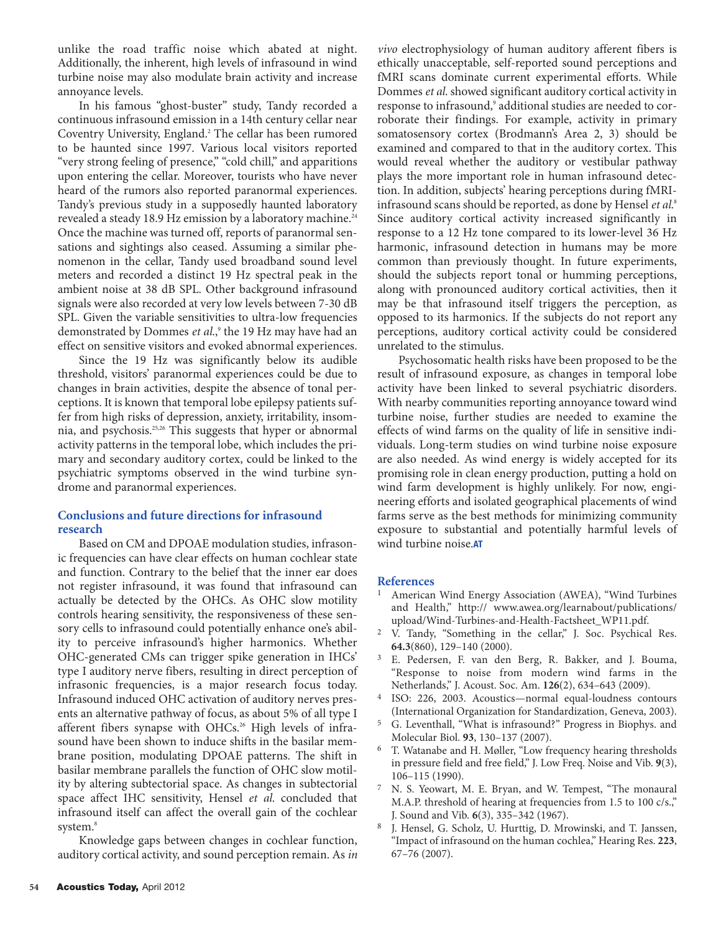unlike the road traffic noise which abated at night. Additionally, the inherent, high levels of infrasound in wind turbine noise may also modulate brain activity and increase annoyance levels.

In his famous "ghost-buster" study, Tandy recorded a continuous infrasound emission in a 14th century cellar near Coventry University, England.2 The cellar has been rumored to be haunted since 1997. Various local visitors reported "very strong feeling of presence," "cold chill," and apparitions upon entering the cellar. Moreover, tourists who have never heard of the rumors also reported paranormal experiences. Tandy's previous study in a supposedly haunted laboratory revealed a steady 18.9 Hz emission by a laboratory machine.<sup>24</sup> Once the machine was turned off, reports of paranormal sensations and sightings also ceased. Assuming a similar phenomenon in the cellar, Tandy used broadband sound level meters and recorded a distinct 19 Hz spectral peak in the ambient noise at 38 dB SPL. Other background infrasound signals were also recorded at very low levels between 7-30 dB SPL. Given the variable sensitivities to ultra-low frequencies demonstrated by Dommes et al.,<sup>9</sup> the 19 Hz may have had an effect on sensitive visitors and evoked abnormal experiences.

Since the 19 Hz was significantly below its audible threshold, visitors' paranormal experiences could be due to changes in brain activities, despite the absence of tonal perceptions. It is known that temporal lobe epilepsy patients suffer from high risks of depression, anxiety, irritability, insomnia, and psychosis.25,26 This suggests that hyper or abnormal activity patterns in the temporal lobe, which includes the primary and secondary auditory cortex, could be linked to the psychiatric symptoms observed in the wind turbine syndrome and paranormal experiences.

# **Conclusions and future directions for infrasound research**

Based on CM and DPOAE modulation studies, infrasonic frequencies can have clear effects on human cochlear state and function. Contrary to the belief that the inner ear does not register infrasound, it was found that infrasound can actually be detected by the OHCs. As OHC slow motility controls hearing sensitivity, the responsiveness of these sensory cells to infrasound could potentially enhance one's ability to perceive infrasound's higher harmonics. Whether OHC-generated CMs can trigger spike generation in IHCs' type I auditory nerve fibers, resulting in direct perception of infrasonic frequencies, is a major research focus today. Infrasound induced OHC activation of auditory nerves presents an alternative pathway of focus, as about 5% of all type I afferent fibers synapse with OHCs.<sup>26</sup> High levels of infrasound have been shown to induce shifts in the basilar membrane position, modulating DPOAE patterns. The shift in basilar membrane parallels the function of OHC slow motility by altering subtectorial space. As changes in subtectorial space affect IHC sensitivity, Hensel *et al.* concluded that infrasound itself can affect the overall gain of the cochlear system.<sup>8</sup>

Knowledge gaps between changes in cochlear function, auditory cortical activity, and sound perception remain. As *in* *vivo* electrophysiology of human auditory afferent fibers is ethically unacceptable, self-reported sound perceptions and fMRI scans dominate current experimental efforts. While Dommes *et al.* showed significant auditory cortical activity in response to infrasound,<sup>9</sup> additional studies are needed to corroborate their findings. For example, activity in primary somatosensory cortex (Brodmann's Area 2, 3) should be examined and compared to that in the auditory cortex. This would reveal whether the auditory or vestibular pathway plays the more important role in human infrasound detection. In addition, subjects' hearing perceptions during fMRIinfrasound scans should be reported, as done by Hensel *et al.*<sup>8</sup> Since auditory cortical activity increased significantly in response to a 12 Hz tone compared to its lower-level 36 Hz harmonic, infrasound detection in humans may be more common than previously thought. In future experiments, should the subjects report tonal or humming perceptions, along with pronounced auditory cortical activities, then it may be that infrasound itself triggers the perception, as opposed to its harmonics. If the subjects do not report any perceptions, auditory cortical activity could be considered unrelated to the stimulus.

Psychosomatic health risks have been proposed to be the result of infrasound exposure, as changes in temporal lobe activity have been linked to several psychiatric disorders. With nearby communities reporting annoyance toward wind turbine noise, further studies are needed to examine the effects of wind farms on the quality of life in sensitive individuals. Long-term studies on wind turbine noise exposure are also needed. As wind energy is widely accepted for its promising role in clean energy production, putting a hold on wind farm development is highly unlikely. For now, engineering efforts and isolated geographical placements of wind farms serve as the best methods for minimizing community exposure to substantial and potentially harmful levels of wind turbine noise.**AT**

## **References**

- 1 American Wind Energy Association (AWEA), "Wind Turbines and Health," http:// www.awea.org/learnabout/publications/ upload/Wind-Turbines-and-Health-Factsheet\_WP11.pdf.
- 2 V. Tandy, "Something in the cellar," J. Soc. Psychical Res. **64.3**(860), 129–140 (2000).
- 3 E. Pedersen, F. van den Berg, R. Bakker, and J. Bouma, "Response to noise from modern wind farms in the Netherlands," J. Acoust. Soc. Am. **126**(2), 634–643 (2009).
- 4 ISO: 226, 2003. Acoustics—normal equal-loudness contours (International Organization for Standardization, Geneva, 2003).
- 5 G. Leventhall, "What is infrasound?" Progress in Biophys. and Molecular Biol. **93**, 130–137 (2007).
- 6 T. Watanabe and H. Møller, "Low frequency hearing thresholds in pressure field and free field," J. Low Freq. Noise and Vib. **9**(3), 106–115 (1990).
- 7 N. S. Yeowart, M. E. Bryan, and W. Tempest, "The monaural M.A.P. threshold of hearing at frequencies from 1.5 to 100 c/s.," J. Sound and Vib. **6**(3), 335–342 (1967).
- 8 J. Hensel, G. Scholz, U. Hurttig, D. Mrowinski, and T. Janssen, "Impact of infrasound on the human cochlea," Hearing Res. **223**, 67–76 (2007).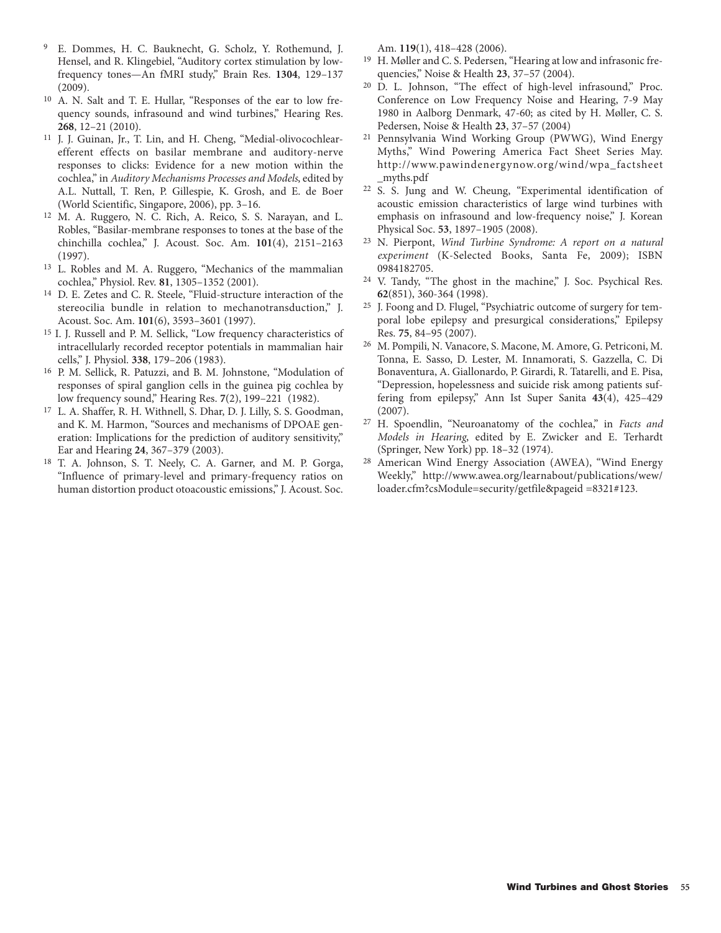- 9 E. Dommes, H. C. Bauknecht, G. Scholz, Y. Rothemund, J. Hensel, and R. Klingebiel, "Auditory cortex stimulation by lowfrequency tones—An fMRI study," Brain Res. **1304**, 129–137 (2009).
- 10 A. N. Salt and T. E. Hullar, "Responses of the ear to low frequency sounds, infrasound and wind turbines," Hearing Res. **268**, 12–21 (2010).
- 11 J. J. Guinan, Jr., T. Lin, and H. Cheng, "Medial-olivocochlearefferent effects on basilar membrane and auditory-nerve responses to clicks: Evidence for a new motion within the cochlea," in *Auditory Mechanisms Processes and Models*, edited by A.L. Nuttall, T. Ren, P. Gillespie, K. Grosh, and E. de Boer (World Scientific, Singapore, 2006), pp. 3–16.
- 12 M. A. Ruggero, N. C. Rich, A. Reico, S. S. Narayan, and L. Robles, "Basilar-membrane responses to tones at the base of the chinchilla cochlea," J. Acoust. Soc. Am. **101**(4), 2151–2163 (1997).
- 13 L. Robles and M. A. Ruggero, "Mechanics of the mammalian cochlea," Physiol. Rev. **81**, 1305–1352 (2001).
- 14 D. E. Zetes and C. R. Steele, "Fluid-structure interaction of the stereocilia bundle in relation to mechanotransduction," J. Acoust. Soc. Am. **101**(6), 3593–3601 (1997).
- 15 I. J. Russell and P. M. Sellick, "Low frequency characteristics of intracellularly recorded receptor potentials in mammalian hair cells," J. Physiol. **338**, 179–206 (1983).
- 16 P. M. Sellick, R. Patuzzi, and B. M. Johnstone, "Modulation of responses of spiral ganglion cells in the guinea pig cochlea by low frequency sound," Hearing Res. **7**(2), 199–221 (1982).
- 17 L. A. Shaffer, R. H. Withnell, S. Dhar, D. J. Lilly, S. S. Goodman, and K. M. Harmon, "Sources and mechanisms of DPOAE generation: Implications for the prediction of auditory sensitivity," Ear and Hearing **24**, 367–379 (2003).
- 18 T. A. Johnson, S. T. Neely, C. A. Garner, and M. P. Gorga, "Influence of primary-level and primary-frequency ratios on human distortion product otoacoustic emissions," J. Acoust. Soc.

Am. **119**(1), 418–428 (2006).

- 19 H. Møller and C. S. Pedersen, "Hearing at low and infrasonic frequencies," Noise & Health **23**, 37–57 (2004).
- <sup>20</sup> D. L. Johnson, "The effect of high-level infrasound," Proc. Conference on Low Frequency Noise and Hearing, 7-9 May 1980 in Aalborg Denmark, 47-60; as cited by H. Møller, C. S. Pedersen, Noise & Health **23**, 37–57 (2004)
- 21 Pennsylvania Wind Working Group (PWWG), Wind Energy Myths," Wind Powering America Fact Sheet Series May. http://www.pawindenergynow.org/wind/wpa\_factsheet \_myths.pdf
- 22 S. S. Jung and W. Cheung, "Experimental identification of acoustic emission characteristics of large wind turbines with emphasis on infrasound and low-frequency noise," J. Korean Physical Soc. **53**, 1897–1905 (2008).
- 23 N. Pierpont, *Wind Turbine Syndrome: A report on a natural experiment* (K-Selected Books, Santa Fe, 2009); ISBN 0984182705.
- 24 V. Tandy, "The ghost in the machine," J. Soc. Psychical Res. **62**(851), 360-364 (1998).
- 25 J. Foong and D. Flugel, "Psychiatric outcome of surgery for temporal lobe epilepsy and presurgical considerations," Epilepsy Res. **75**, 84–95 (2007).
- 26 M. Pompili, N. Vanacore, S. Macone, M. Amore, G. Petriconi, M. Tonna, E. Sasso, D. Lester, M. Innamorati, S. Gazzella, C. Di Bonaventura, A. Giallonardo, P. Girardi, R. Tatarelli, and E. Pisa, "Depression, hopelessness and suicide risk among patients suffering from epilepsy," Ann Ist Super Sanita **43**(4), 425–429 (2007).
- 27 H. Spoendlin, "Neuroanatomy of the cochlea," in *Facts and Models in Hearing*, edited by E. Zwicker and E. Terhardt (Springer, New York) pp. 18–32 (1974).
- 28 American Wind Energy Association (AWEA), "Wind Energy Weekly," http://www.awea.org/learnabout/publications/wew/ loader.cfm?csModule=security/getfile&pageid =8321#123.